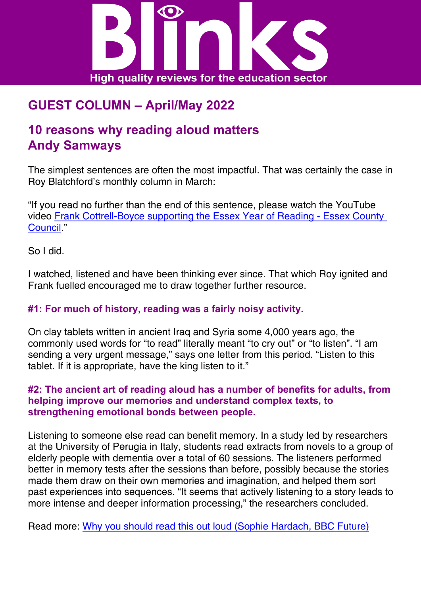

# **GUEST COLUMN – April/May 2022**

## **10 reasons why reading aloud matters Andy Samways**

The simplest sentences are often the most impactful. That was certainly the case in Roy Blatchford's monthly column in March:

"If you read no further than the end of this sentence, please watch the YouTube video [Frank Cottrell-Boyce supporting the Essex Year of Reading - Essex County](https://www.youtube.com/watch?v=h5rwcoNC0S4)  [Council](https://www.youtube.com/watch?v=h5rwcoNC0S4)."

So I did.

I watched, listened and have been thinking ever since. That which Roy ignited and Frank fuelled encouraged me to draw together further resource.

#### **#1: For much of history, reading was a fairly noisy activity.**

On clay tablets written in ancient Iraq and Syria some 4,000 years ago, the commonly used words for "to read" literally meant "to cry out" or "to listen". "I am sending a very urgent message," says one letter from this period. "Listen to this tablet. If it is appropriate, have the king listen to it."

#### **#2: The ancient art of reading aloud has a number of benefits for adults, from helping improve our memories and understand complex texts, to strengthening emotional bonds between people.**

Listening to someone else read can benefit memory. In a study led by researchers at the University of Perugia in Italy, students read extracts from novels to a group of elderly people with dementia over a total of 60 sessions. The listeners performed better in memory tests after the sessions than before, possibly because the stories made them draw on their own memories and imagination, and helped them sort past experiences into sequences. "It seems that actively listening to a story leads to more intense and deeper information processing," the researchers concluded.

Read more: [Why you should read this out loud \(Sophie Hardach, BBC Future\)](https://www.bbc.com/future/article/20200917-the-surprising-power-of-reading-aloud)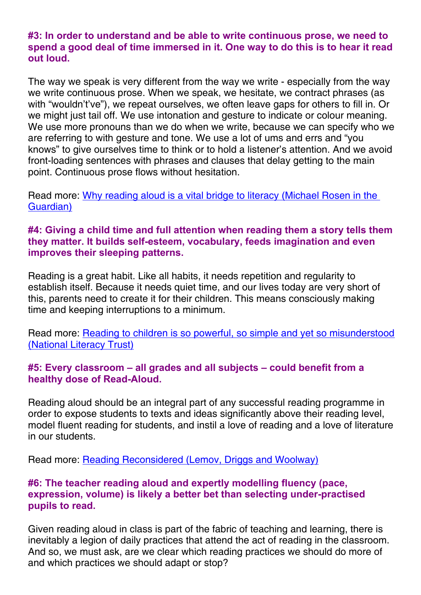#### **#3: In order to understand and be able to write continuous prose, we need to spend a good deal of time immersed in it. One way to do this is to hear it read out loud.**

The way we speak is very different from the way we write - especially from the way we write continuous prose. When we speak, we hesitate, we contract phrases (as with "wouldn't've"), we repeat ourselves, we often leave gaps for others to fill in. Or we might just tail off. We use intonation and gesture to indicate or colour meaning. We use more pronouns than we do when we write, because we can specify who we are referring to with gesture and tone. We use a lot of ums and errs and "you knows" to give ourselves time to think or to hold a listener's attention. And we avoid front-loading sentences with phrases and clauses that delay getting to the main point. Continuous prose flows without hesitation.

Read more: [Why reading aloud is a vital bridge to literacy \(Michael Rosen in the](https://www.theguardian.com/books/2019/mar/09/why-reading-aloud-is-a-vital-bridge-to-literacy)  [Guardian\)](https://www.theguardian.com/books/2019/mar/09/why-reading-aloud-is-a-vital-bridge-to-literacy)

#### **#4: Giving a child time and full attention when reading them a story tells them they matter. It builds self-esteem, vocabulary, feeds imagination and even improves their sleeping patterns.**

Reading is a great habit. Like all habits, it needs repetition and regularity to establish itself. Because it needs quiet time, and our lives today are very short of this, parents need to create it for their children. This means consciously making time and keeping interruptions to a minimum.

Read more: [Reading to children is so powerful, so simple and yet so misunderstood](https://literacytrust.org.uk/blog/reading-children-so-powerful-so-simple-and-yet-so-misunderstood/)  [\(National Literacy Trust\)](https://literacytrust.org.uk/blog/reading-children-so-powerful-so-simple-and-yet-so-misunderstood/)

#### **#5: Every classroom – all grades and all subjects – could benefit from a healthy dose of Read-Aloud.**

Reading aloud should be an integral part of any successful reading programme in order to expose students to texts and ideas significantly above their reading level, model fluent reading for students, and instil a love of reading and a love of literature in our students.

Read more: [Reading Reconsidered \(Lemov, Driggs and Woolway\)](https://teachlikeachampion.com/books/reading-reconsidered/)

#### **#6: The teacher reading aloud and expertly modelling fluency (pace, expression, volume) is likely a better bet than selecting under-practised pupils to read.**

Given reading aloud in class is part of the fabric of teaching and learning, there is inevitably a legion of daily practices that attend the act of reading in the classroom. And so, we must ask, are we clear which reading practices we should do more of and which practices we should adapt or stop?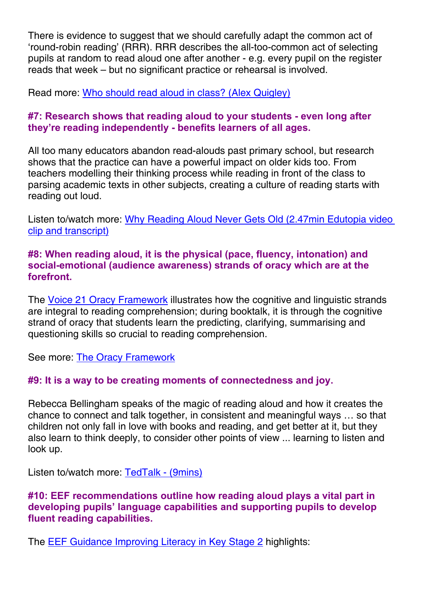There is evidence to suggest that we should carefully adapt the common act of 'round-robin reading' (RRR). RRR describes the all-too-common act of selecting pupils at random to read aloud one after another - e.g. every pupil on the register reads that week – but no significant practice or rehearsal is involved.

Read more: [Who should read aloud in class? \(Alex Quigley\)](https://www.theconfidentteacher.com/2022/02/who-should-read-aloud-in-class/)

#### **#7: Research shows that reading aloud to your students - even long after they're reading independently - benefits learners of all ages.**

All too many educators abandon read-alouds past primary school, but research shows that the practice can have a powerful impact on older kids too. From teachers modelling their thinking process while reading in front of the class to parsing academic texts in other subjects, creating a culture of reading starts with reading out loud.

Listen to/watch more: [Why Reading Aloud Never Gets Old \(2.47min Edutopia video](https://www.edutopia.org/video/why-reading-aloud-never-gets-old)  [clip and transcript\)](https://www.edutopia.org/video/why-reading-aloud-never-gets-old)

#### **#8: When reading aloud, it is the physical (pace, fluency, intonation) and social-emotional (audience awareness) strands of oracy which are at the forefront.**

The [Voice 21 Oracy Framework](https://voice21.org/wp-content/uploads/2019/10/The-Oracy-Framework-1-1.pdf) illustrates how the cognitive and linguistic strands are integral to reading comprehension; during booktalk, it is through the cognitive strand of oracy that students learn the predicting, clarifying, summarising and questioning skills so crucial to reading comprehension.

See more: [The Oracy Framework](https://voice21.org/wp-content/uploads/2019/10/The-Oracy-Framework-1-1.pdf)

### **#9: It is a way to be creating moments of connectedness and joy.**

Rebecca Bellingham speaks of the magic of reading aloud and how it creates the chance to connect and talk together, in consistent and meaningful ways … so that children not only fall in love with books and reading, and get better at it, but they also learn to think deeply, to consider other points of view ... learning to listen and look up.

Listen to/watch more: [TedTalk - \(9mins\)](https://www.youtube.com/watch?v=ZBuT2wdYtpM)

#### **#10: EEF recommendations outline how reading aloud plays a vital part in developing pupils' language capabilities and supporting pupils to develop fluent reading capabilities.**

The **[EEF Guidance Improving Literacy in Key Stage 2](https://educationendowmentfoundation.org.uk/education-evidence/guidance-reports/literacy-ks2) highlights:**